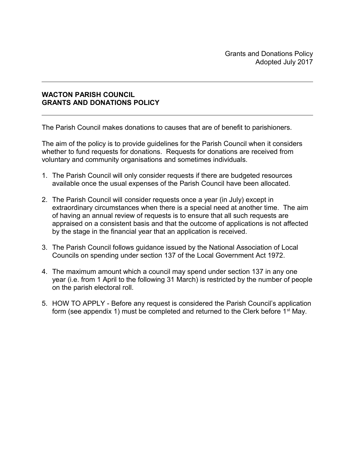## **WACTON PARISH COUNCIL GRANTS AND DONATIONS POLICY**

The Parish Council makes donations to causes that are of benefit to parishioners.

The aim of the policy is to provide guidelines for the Parish Council when it considers whether to fund requests for donations. Requests for donations are received from voluntary and community organisations and sometimes individuals.

- 1. The Parish Council will only consider requests if there are budgeted resources available once the usual expenses of the Parish Council have been allocated.
- 2. The Parish Council will consider requests once a year (in July) except in extraordinary circumstances when there is a special need at another time. The aim of having an annual review of requests is to ensure that all such requests are appraised on a consistent basis and that the outcome of applications is not affected by the stage in the financial year that an application is received.
- 3. The Parish Council follows guidance issued by the National Association of Local Councils on spending under section 137 of the Local Government Act 1972.
- 4. The maximum amount which a council may spend under section 137 in any one year (i.e. from 1 April to the following 31 March) is restricted by the number of people on the parish electoral roll.
- 5. HOW TO APPLY Before any request is considered the Parish Council's application form (see appendix 1) must be completed and returned to the Clerk before  $1<sup>st</sup>$  May.